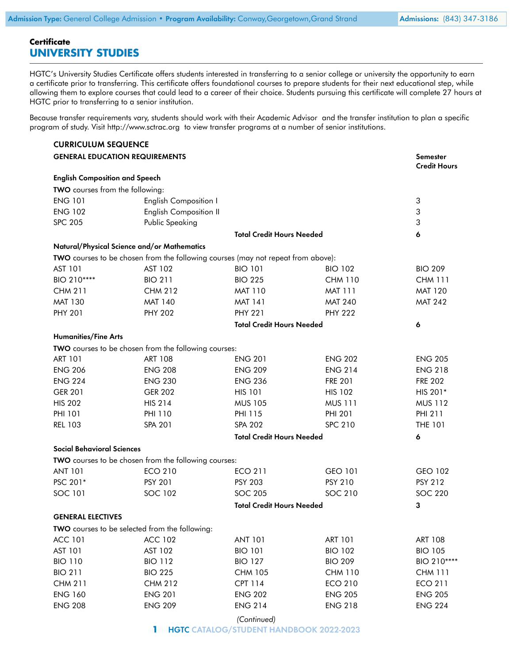## **Certificate UNIVERSITY STUDIES**

HGTC's University Studies Certificate offers students interested in transferring to a senior college or university the opportunity to earn a certificate prior to transferring. This certificate offers foundational courses to prepare students for their next educational step, while allowing them to explore courses that could lead to a career of their choice. Students pursuing this certificate will complete 27 hours at HGTC prior to transferring to a senior institution.

Because transfer requirements vary, students should work with their [Academic Advisor](https://www.hgtc.edu/academics/advising/) and the transfer institution to plan a specific program of study. Visit [http://www.sctrac.org](http://www.sctrac.org/) to view transfer programs at a number of senior institutions.

| Semester<br><b>Credit Hours</b><br>3<br>3<br>3<br>6<br><b>BIO 209</b><br><b>CHM 111</b><br><b>MAT 120</b> |
|-----------------------------------------------------------------------------------------------------------|
|                                                                                                           |
|                                                                                                           |
|                                                                                                           |
|                                                                                                           |
|                                                                                                           |
|                                                                                                           |
|                                                                                                           |
|                                                                                                           |
|                                                                                                           |
|                                                                                                           |
|                                                                                                           |
|                                                                                                           |
| <b>MAT 242</b>                                                                                            |
|                                                                                                           |
| 6                                                                                                         |
|                                                                                                           |
|                                                                                                           |
| <b>ENG 205</b>                                                                                            |
| <b>ENG 218</b>                                                                                            |
| <b>FRE 202</b>                                                                                            |
| HIS 201*                                                                                                  |
| <b>MUS 112</b>                                                                                            |
| PHI 211                                                                                                   |
| <b>THE 101</b>                                                                                            |
| 6                                                                                                         |
|                                                                                                           |
|                                                                                                           |
| GEO 102                                                                                                   |
| <b>PSY 212</b>                                                                                            |
| <b>SOC 220</b>                                                                                            |
| 3                                                                                                         |
|                                                                                                           |
|                                                                                                           |
| <b>ART 108</b>                                                                                            |
| <b>BIO 105</b>                                                                                            |
| BIO 210****                                                                                               |
| <b>CHM 111</b>                                                                                            |
| <b>ECO 211</b>                                                                                            |
| <b>ENG 205</b>                                                                                            |
| <b>ENG 224</b>                                                                                            |
|                                                                                                           |
|                                                                                                           |

**1** HGTC CATALOG/STUDENT HANDBOOK 2022-2023